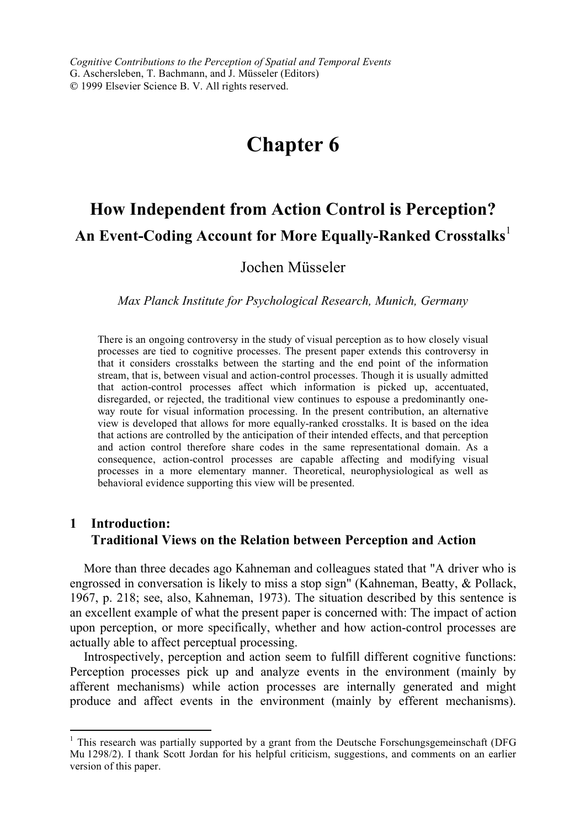# **Chapter 6**

# **How Independent from Action Control is Perception? An Event-Coding Account for More Equally-Ranked Crosstalks** 1

Jochen Müsseler

*Max Planck Institute for Psychological Research, Munich, Germany*

There is an ongoing controversy in the study of visual perception as to how closely visual processes are tied to cognitive processes. The present paper extends this controversy in that it considers crosstalks between the starting and the end point of the information stream, that is, between visual and action-control processes. Though it is usually admitted that action-control processes affect which information is picked up, accentuated, disregarded, or rejected, the traditional view continues to espouse a predominantly oneway route for visual information processing. In the present contribution, an alternative view is developed that allows for more equally-ranked crosstalks. It is based on the idea that actions are controlled by the anticipation of their intended effects, and that perception and action control therefore share codes in the same representational domain. As a consequence, action-control processes are capable affecting and modifying visual processes in a more elementary manner. Theoretical, neurophysiological as well as behavioral evidence supporting this view will be presented.

# **1 Introduction: Traditional Views on the Relation between Perception and Action**

More than three decades ago Kahneman and colleagues stated that "A driver who is engrossed in conversation is likely to miss a stop sign" (Kahneman, Beatty, & Pollack, 1967, p. 218; see, also, Kahneman, 1973). The situation described by this sentence is an excellent example of what the present paper is concerned with: The impact of action upon perception, or more specifically, whether and how action-control processes are actually able to affect perceptual processing.

Introspectively, perception and action seem to fulfill different cognitive functions: Perception processes pick up and analyze events in the environment (mainly by afferent mechanisms) while action processes are internally generated and might produce and affect events in the environment (mainly by efferent mechanisms).

 $<sup>1</sup>$  This research was partially supported by a grant from the Deutsche Forschungsgemeinschaft (DFG</sup> Mu 1298/2). I thank Scott Jordan for his helpful criticism, suggestions, and comments on an earlier version of this paper.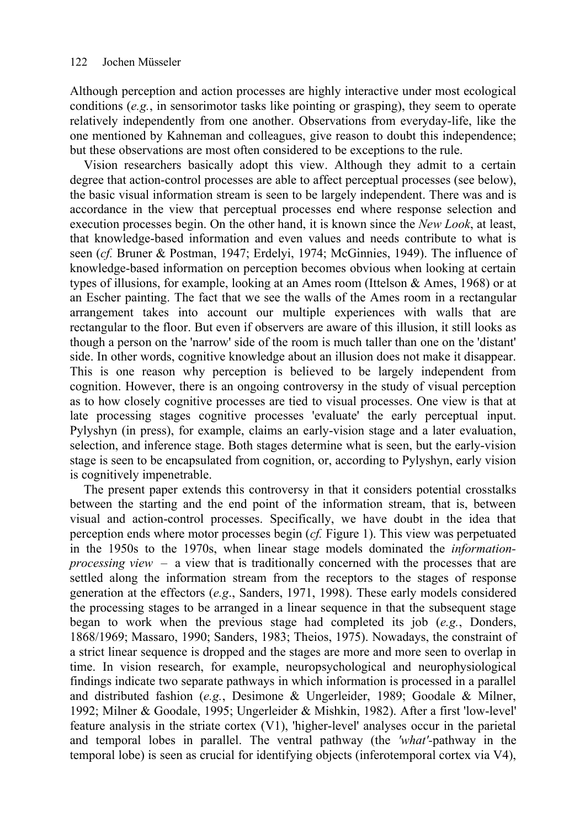Although perception and action processes are highly interactive under most ecological conditions (*e.g.*, in sensorimotor tasks like pointing or grasping), they seem to operate relatively independently from one another. Observations from everyday-life, like the one mentioned by Kahneman and colleagues, give reason to doubt this independence; but these observations are most often considered to be exceptions to the rule.

Vision researchers basically adopt this view. Although they admit to a certain degree that action-control processes are able to affect perceptual processes (see below), the basic visual information stream is seen to be largely independent. There was and is accordance in the view that perceptual processes end where response selection and execution processes begin. On the other hand, it is known since the *New Look*, at least, that knowledge-based information and even values and needs contribute to what is seen (*cf.* Bruner & Postman, 1947; Erdelyi, 1974; McGinnies, 1949). The influence of knowledge-based information on perception becomes obvious when looking at certain types of illusions, for example, looking at an Ames room (Ittelson & Ames, 1968) or at an Escher painting. The fact that we see the walls of the Ames room in a rectangular arrangement takes into account our multiple experiences with walls that are rectangular to the floor. But even if observers are aware of this illusion, it still looks as though a person on the 'narrow' side of the room is much taller than one on the 'distant' side. In other words, cognitive knowledge about an illusion does not make it disappear. This is one reason why perception is believed to be largely independent from cognition. However, there is an ongoing controversy in the study of visual perception as to how closely cognitive processes are tied to visual processes. One view is that at late processing stages cognitive processes 'evaluate' the early perceptual input. Pylyshyn (in press), for example, claims an early-vision stage and a later evaluation, selection, and inference stage. Both stages determine what is seen, but the early-vision stage is seen to be encapsulated from cognition, or, according to Pylyshyn, early vision is cognitively impenetrable.

The present paper extends this controversy in that it considers potential crosstalks between the starting and the end point of the information stream, that is, between visual and action-control processes. Specifically, we have doubt in the idea that perception ends where motor processes begin (*cf.* Figure 1). This view was perpetuated in the 1950s to the 1970s, when linear stage models dominated the *informationprocessing view* – a view that is traditionally concerned with the processes that are settled along the information stream from the receptors to the stages of response generation at the effectors (*e.g*., Sanders, 1971, 1998). These early models considered the processing stages to be arranged in a linear sequence in that the subsequent stage began to work when the previous stage had completed its job (*e.g.*, Donders, 1868/1969; Massaro, 1990; Sanders, 1983; Theios, 1975). Nowadays, the constraint of a strict linear sequence is dropped and the stages are more and more seen to overlap in time. In vision research, for example, neuropsychological and neurophysiological findings indicate two separate pathways in which information is processed in a parallel and distributed fashion (*e.g.*, Desimone & Ungerleider, 1989; Goodale & Milner, 1992; Milner & Goodale, 1995; Ungerleider & Mishkin, 1982). After a first 'low-level' feature analysis in the striate cortex (V1), 'higher-level' analyses occur in the parietal and temporal lobes in parallel. The ventral pathway (the *'what'-*pathway in the temporal lobe) is seen as crucial for identifying objects (inferotemporal cortex via V4),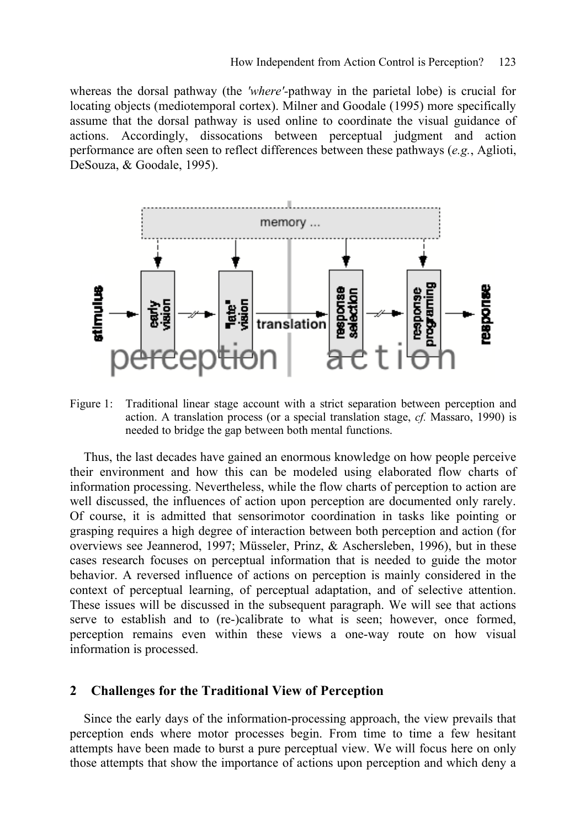whereas the dorsal pathway (the *'where'-*pathway in the parietal lobe) is crucial for locating objects (mediotemporal cortex). Milner and Goodale (1995) more specifically assume that the dorsal pathway is used online to coordinate the visual guidance of actions. Accordingly, dissocations between perceptual judgment and action performance are often seen to reflect differences between these pathways (*e.g.*, Aglioti, DeSouza, & Goodale, 1995).



Figure 1: Traditional linear stage account with a strict separation between perception and action. A translation process (or a special translation stage, *cf.* Massaro, 1990) is needed to bridge the gap between both mental functions.

Thus, the last decades have gained an enormous knowledge on how people perceive their environment and how this can be modeled using elaborated flow charts of information processing. Nevertheless, while the flow charts of perception to action are well discussed, the influences of action upon perception are documented only rarely. Of course, it is admitted that sensorimotor coordination in tasks like pointing or grasping requires a high degree of interaction between both perception and action (for overviews see Jeannerod, 1997; Müsseler, Prinz, & Aschersleben, 1996), but in these cases research focuses on perceptual information that is needed to guide the motor behavior. A reversed influence of actions on perception is mainly considered in the context of perceptual learning, of perceptual adaptation, and of selective attention. These issues will be discussed in the subsequent paragraph. We will see that actions serve to establish and to (re-)calibrate to what is seen; however, once formed, perception remains even within these views a one-way route on how visual information is processed.

### **2 Challenges for the Traditional View of Perception**

Since the early days of the information-processing approach, the view prevails that perception ends where motor processes begin. From time to time a few hesitant attempts have been made to burst a pure perceptual view. We will focus here on only those attempts that show the importance of actions upon perception and which deny a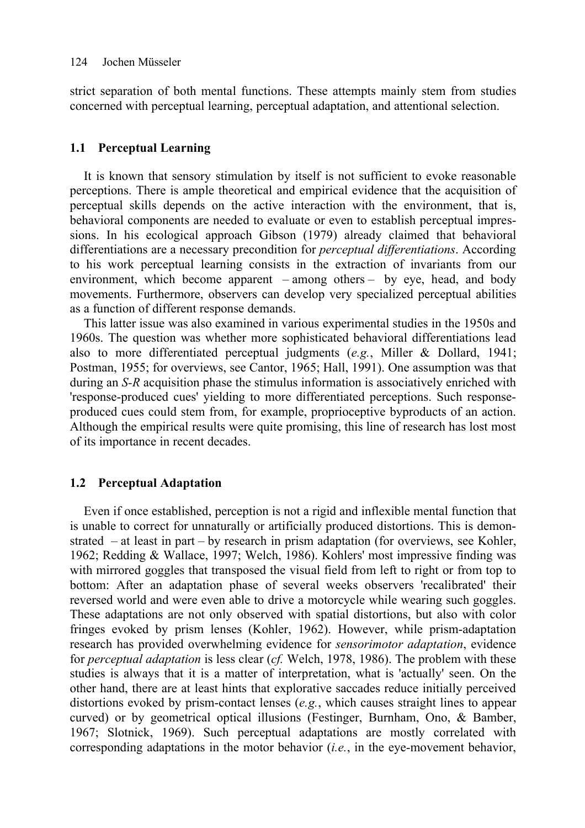strict separation of both mental functions. These attempts mainly stem from studies concerned with perceptual learning, perceptual adaptation, and attentional selection.

# **1.1 Perceptual Learning**

It is known that sensory stimulation by itself is not sufficient to evoke reasonable perceptions. There is ample theoretical and empirical evidence that the acquisition of perceptual skills depends on the active interaction with the environment, that is, behavioral components are needed to evaluate or even to establish perceptual impressions. In his ecological approach Gibson (1979) already claimed that behavioral differentiations are a necessary precondition for *perceptual differentiations*. According to his work perceptual learning consists in the extraction of invariants from our environment, which become apparent – among others – by eye, head, and body movements. Furthermore, observers can develop very specialized perceptual abilities as a function of different response demands.

This latter issue was also examined in various experimental studies in the 1950s and 1960s. The question was whether more sophisticated behavioral differentiations lead also to more differentiated perceptual judgments (*e.g.*, Miller & Dollard, 1941; Postman, 1955; for overviews, see Cantor, 1965; Hall, 1991). One assumption was that during an *S-R* acquisition phase the stimulus information is associatively enriched with 'response-produced cues' yielding to more differentiated perceptions. Such responseproduced cues could stem from, for example, proprioceptive byproducts of an action. Although the empirical results were quite promising, this line of research has lost most of its importance in recent decades.

# **1.2 Perceptual Adaptation**

Even if once established, perception is not a rigid and inflexible mental function that is unable to correct for unnaturally or artificially produced distortions. This is demonstrated – at least in part – by research in prism adaptation (for overviews, see Kohler, 1962; Redding & Wallace, 1997; Welch, 1986). Kohlers' most impressive finding was with mirrored goggles that transposed the visual field from left to right or from top to bottom: After an adaptation phase of several weeks observers 'recalibrated' their reversed world and were even able to drive a motorcycle while wearing such goggles. These adaptations are not only observed with spatial distortions, but also with color fringes evoked by prism lenses (Kohler, 1962). However, while prism-adaptation research has provided overwhelming evidence for *sensorimotor adaptation*, evidence for *perceptual adaptation* is less clear (*cf.* Welch, 1978, 1986). The problem with these studies is always that it is a matter of interpretation, what is 'actually' seen. On the other hand, there are at least hints that explorative saccades reduce initially perceived distortions evoked by prism-contact lenses (*e.g.*, which causes straight lines to appear curved) or by geometrical optical illusions (Festinger, Burnham, Ono, & Bamber, 1967; Slotnick, 1969). Such perceptual adaptations are mostly correlated with corresponding adaptations in the motor behavior (*i.e.*, in the eye-movement behavior,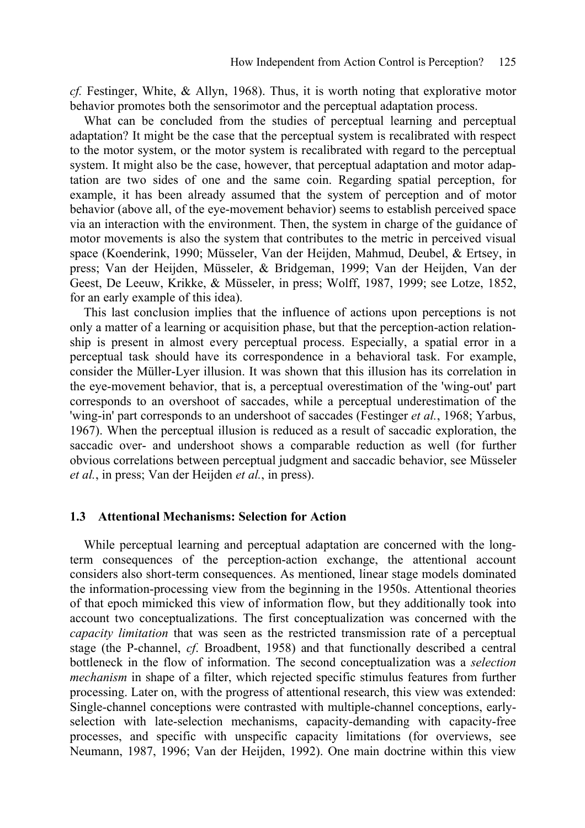*cf.* Festinger, White, & Allyn, 1968). Thus, it is worth noting that explorative motor behavior promotes both the sensorimotor and the perceptual adaptation process.

What can be concluded from the studies of perceptual learning and perceptual adaptation? It might be the case that the perceptual system is recalibrated with respect to the motor system, or the motor system is recalibrated with regard to the perceptual system. It might also be the case, however, that perceptual adaptation and motor adaptation are two sides of one and the same coin. Regarding spatial perception, for example, it has been already assumed that the system of perception and of motor behavior (above all, of the eye-movement behavior) seems to establish perceived space via an interaction with the environment. Then, the system in charge of the guidance of motor movements is also the system that contributes to the metric in perceived visual space (Koenderink, 1990; Müsseler, Van der Heijden, Mahmud, Deubel, & Ertsey, in press; Van der Heijden, Müsseler, & Bridgeman, 1999; Van der Heijden, Van der Geest, De Leeuw, Krikke, & Müsseler, in press; Wolff, 1987, 1999; see Lotze, 1852, for an early example of this idea).

This last conclusion implies that the influence of actions upon perceptions is not only a matter of a learning or acquisition phase, but that the perception-action relationship is present in almost every perceptual process. Especially, a spatial error in a perceptual task should have its correspondence in a behavioral task. For example, consider the Müller-Lyer illusion. It was shown that this illusion has its correlation in the eye-movement behavior, that is, a perceptual overestimation of the 'wing-out' part corresponds to an overshoot of saccades, while a perceptual underestimation of the 'wing-in' part corresponds to an undershoot of saccades (Festinger *et al.*, 1968; Yarbus, 1967). When the perceptual illusion is reduced as a result of saccadic exploration, the saccadic over- and undershoot shows a comparable reduction as well (for further obvious correlations between perceptual judgment and saccadic behavior, see Müsseler *et al.*, in press; Van der Heijden *et al.*, in press).

## **1.3 Attentional Mechanisms: Selection for Action**

While perceptual learning and perceptual adaptation are concerned with the longterm consequences of the perception-action exchange, the attentional account considers also short-term consequences. As mentioned, linear stage models dominated the information-processing view from the beginning in the 1950s. Attentional theories of that epoch mimicked this view of information flow, but they additionally took into account two conceptualizations. The first conceptualization was concerned with the *capacity limitation* that was seen as the restricted transmission rate of a perceptual stage (the P-channel, *cf*. Broadbent, 1958) and that functionally described a central bottleneck in the flow of information. The second conceptualization was a *selection mechanism* in shape of a filter, which rejected specific stimulus features from further processing. Later on, with the progress of attentional research, this view was extended: Single-channel conceptions were contrasted with multiple-channel conceptions, earlyselection with late-selection mechanisms, capacity-demanding with capacity-free processes, and specific with unspecific capacity limitations (for overviews, see Neumann, 1987, 1996; Van der Heijden, 1992). One main doctrine within this view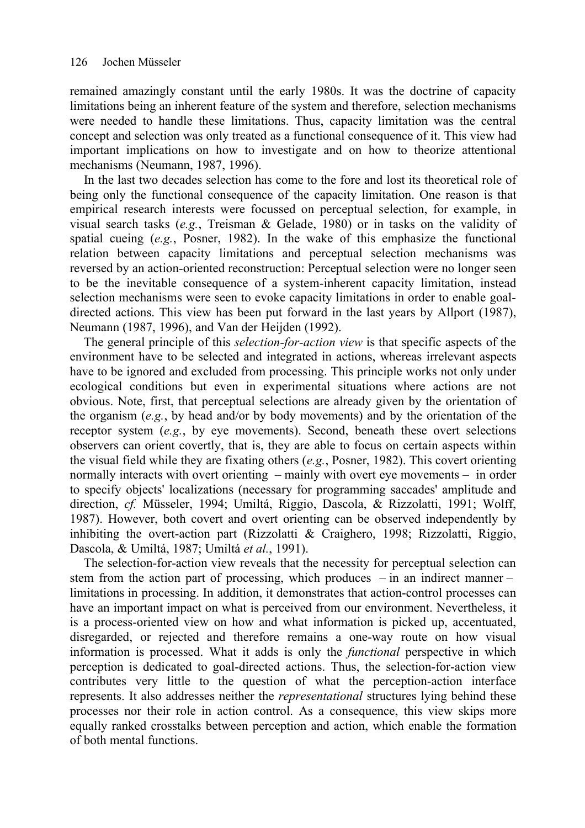remained amazingly constant until the early 1980s. It was the doctrine of capacity limitations being an inherent feature of the system and therefore, selection mechanisms were needed to handle these limitations. Thus, capacity limitation was the central concept and selection was only treated as a functional consequence of it. This view had important implications on how to investigate and on how to theorize attentional mechanisms (Neumann, 1987, 1996).

In the last two decades selection has come to the fore and lost its theoretical role of being only the functional consequence of the capacity limitation. One reason is that empirical research interests were focussed on perceptual selection, for example, in visual search tasks (*e.g.*, Treisman & Gelade, 1980) or in tasks on the validity of spatial cueing (*e.g.*, Posner, 1982). In the wake of this emphasize the functional relation between capacity limitations and perceptual selection mechanisms was reversed by an action-oriented reconstruction: Perceptual selection were no longer seen to be the inevitable consequence of a system-inherent capacity limitation, instead selection mechanisms were seen to evoke capacity limitations in order to enable goaldirected actions. This view has been put forward in the last years by Allport (1987), Neumann (1987, 1996), and Van der Heijden (1992).

The general principle of this *selection-for-action view* is that specific aspects of the environment have to be selected and integrated in actions, whereas irrelevant aspects have to be ignored and excluded from processing. This principle works not only under ecological conditions but even in experimental situations where actions are not obvious. Note, first, that perceptual selections are already given by the orientation of the organism (*e.g.*, by head and/or by body movements) and by the orientation of the receptor system (*e.g.*, by eye movements). Second, beneath these overt selections observers can orient covertly, that is, they are able to focus on certain aspects within the visual field while they are fixating others (*e.g.*, Posner, 1982). This covert orienting normally interacts with overt orienting – mainly with overt eye movements – in order to specify objects' localizations (necessary for programming saccades' amplitude and direction, *cf.* Müsseler, 1994; Umiltá, Riggio, Dascola, & Rizzolatti, 1991; Wolff, 1987). However, both covert and overt orienting can be observed independently by inhibiting the overt-action part (Rizzolatti & Craighero, 1998; Rizzolatti, Riggio, Dascola, & Umiltá, 1987; Umiltá *et al.*, 1991).

The selection-for-action view reveals that the necessity for perceptual selection can stem from the action part of processing, which produces  $-$  in an indirect manner  $$ limitations in processing. In addition, it demonstrates that action-control processes can have an important impact on what is perceived from our environment. Nevertheless, it is a process-oriented view on how and what information is picked up, accentuated, disregarded, or rejected and therefore remains a one-way route on how visual information is processed. What it adds is only the *functional* perspective in which perception is dedicated to goal-directed actions. Thus, the selection-for-action view contributes very little to the question of what the perception-action interface represents. It also addresses neither the *representational* structures lying behind these processes nor their role in action control. As a consequence, this view skips more equally ranked crosstalks between perception and action, which enable the formation of both mental functions.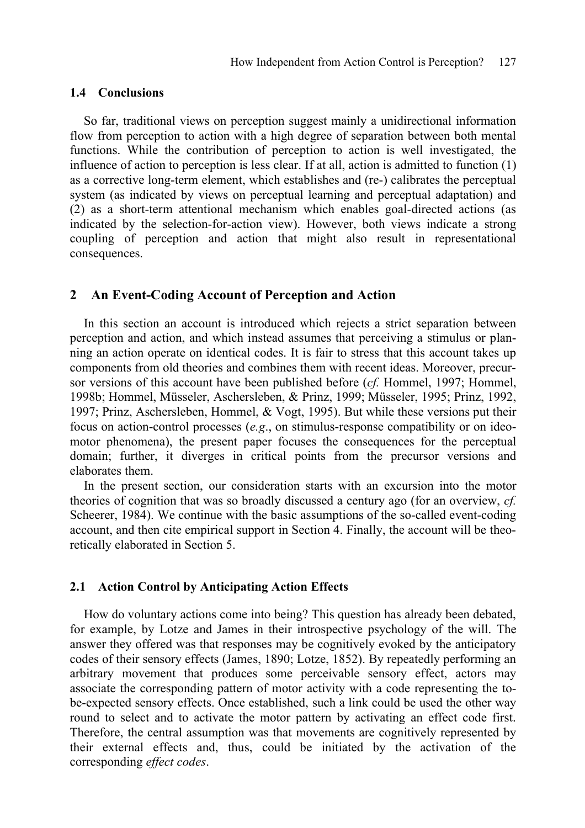#### **1.4 Conclusions**

So far, traditional views on perception suggest mainly a unidirectional information flow from perception to action with a high degree of separation between both mental functions. While the contribution of perception to action is well investigated, the influence of action to perception is less clear. If at all, action is admitted to function (1) as a corrective long-term element, which establishes and (re-) calibrates the perceptual system (as indicated by views on perceptual learning and perceptual adaptation) and (2) as a short-term attentional mechanism which enables goal-directed actions (as indicated by the selection-for-action view). However, both views indicate a strong coupling of perception and action that might also result in representational consequences.

## **2 An Event-Coding Account of Perception and Action**

In this section an account is introduced which rejects a strict separation between perception and action, and which instead assumes that perceiving a stimulus or planning an action operate on identical codes. It is fair to stress that this account takes up components from old theories and combines them with recent ideas. Moreover, precursor versions of this account have been published before (*cf.* Hommel, 1997; Hommel, 1998b; Hommel, Müsseler, Aschersleben, & Prinz, 1999; Müsseler, 1995; Prinz, 1992, 1997; Prinz, Aschersleben, Hommel, & Vogt, 1995). But while these versions put their focus on action-control processes (*e.g*., on stimulus-response compatibility or on ideomotor phenomena), the present paper focuses the consequences for the perceptual domain; further, it diverges in critical points from the precursor versions and elaborates them.

In the present section, our consideration starts with an excursion into the motor theories of cognition that was so broadly discussed a century ago (for an overview, *cf.* Scheerer, 1984). We continue with the basic assumptions of the so-called event-coding account, and then cite empirical support in Section 4. Finally, the account will be theoretically elaborated in Section 5.

## **2.1 Action Control by Anticipating Action Effects**

How do voluntary actions come into being? This question has already been debated, for example, by Lotze and James in their introspective psychology of the will. The answer they offered was that responses may be cognitively evoked by the anticipatory codes of their sensory effects (James, 1890; Lotze, 1852). By repeatedly performing an arbitrary movement that produces some perceivable sensory effect, actors may associate the corresponding pattern of motor activity with a code representing the tobe-expected sensory effects. Once established, such a link could be used the other way round to select and to activate the motor pattern by activating an effect code first. Therefore, the central assumption was that movements are cognitively represented by their external effects and, thus, could be initiated by the activation of the corresponding *effect codes*.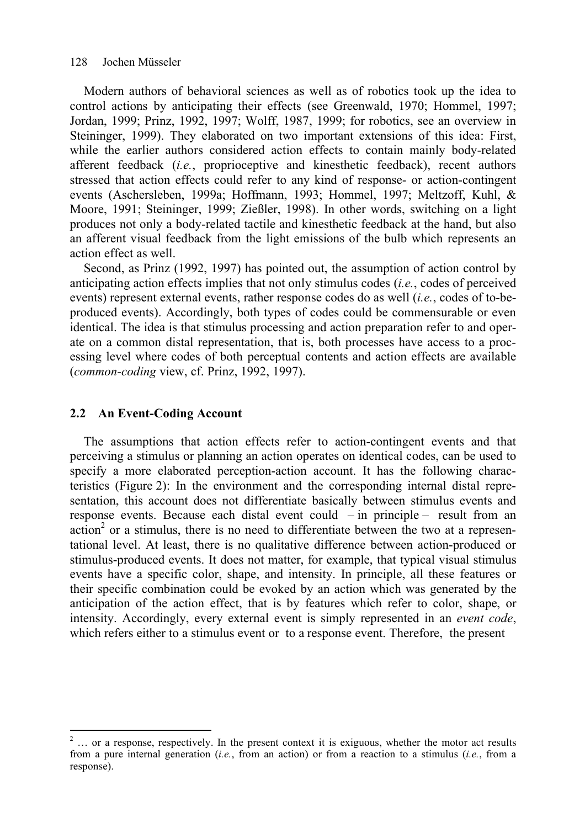#### 128 Jochen Müsseler

Modern authors of behavioral sciences as well as of robotics took up the idea to control actions by anticipating their effects (see Greenwald, 1970; Hommel, 1997; Jordan, 1999; Prinz, 1992, 1997; Wolff, 1987, 1999; for robotics, see an overview in Steininger, 1999). They elaborated on two important extensions of this idea: First, while the earlier authors considered action effects to contain mainly body-related afferent feedback (*i.e.*, proprioceptive and kinesthetic feedback), recent authors stressed that action effects could refer to any kind of response- or action-contingent events (Aschersleben, 1999a; Hoffmann, 1993; Hommel, 1997; Meltzoff, Kuhl, & Moore, 1991; Steininger, 1999; Zießler, 1998). In other words, switching on a light produces not only a body-related tactile and kinesthetic feedback at the hand, but also an afferent visual feedback from the light emissions of the bulb which represents an action effect as well.

Second, as Prinz (1992, 1997) has pointed out, the assumption of action control by anticipating action effects implies that not only stimulus codes (*i.e.*, codes of perceived events) represent external events, rather response codes do as well (*i.e.*, codes of to-beproduced events). Accordingly, both types of codes could be commensurable or even identical. The idea is that stimulus processing and action preparation refer to and operate on a common distal representation, that is, both processes have access to a processing level where codes of both perceptual contents and action effects are available (*common-coding* view, cf. Prinz, 1992, 1997).

# **2.2 An Event-Coding Account**

The assumptions that action effects refer to action-contingent events and that perceiving a stimulus or planning an action operates on identical codes, can be used to specify a more elaborated perception-action account. It has the following characteristics (Figure 2): In the environment and the corresponding internal distal representation, this account does not differentiate basically between stimulus events and response events. Because each distal event could – in principle – result from an  $action<sup>2</sup>$  or a stimulus, there is no need to differentiate between the two at a representational level. At least, there is no qualitative difference between action-produced or stimulus-produced events. It does not matter, for example, that typical visual stimulus events have a specific color, shape, and intensity. In principle, all these features or their specific combination could be evoked by an action which was generated by the anticipation of the action effect, that is by features which refer to color, shape, or intensity. Accordingly, every external event is simply represented in an *event code*, which refers either to a stimulus event or to a response event. Therefore, the present

 $2 \ldots$  or a response, respectively. In the present context it is exiguous, whether the motor act results from a pure internal generation (*i.e.*, from an action) or from a reaction to a stimulus (*i.e.*, from a response).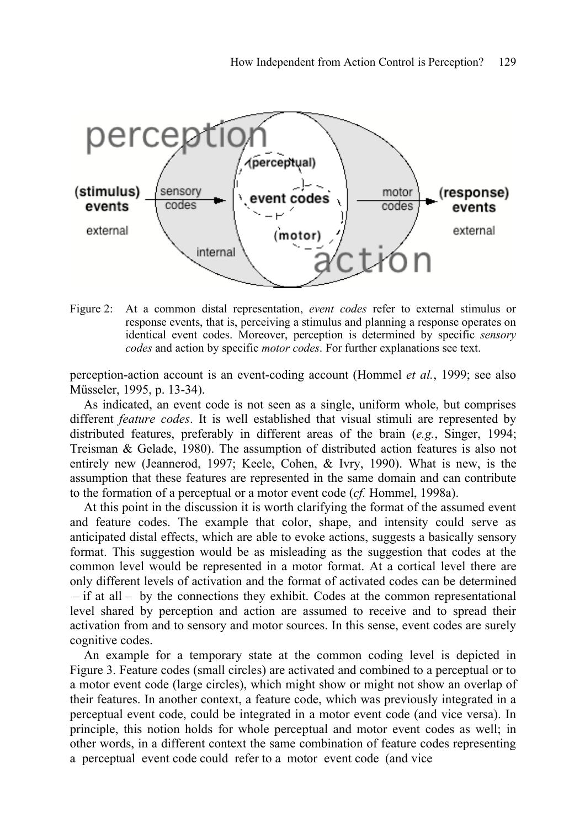

Figure 2: At a common distal representation, *event codes* refer to external stimulus or response events, that is, perceiving a stimulus and planning a response operates on identical event codes. Moreover, perception is determined by specific *sensory codes* and action by specific *motor codes*. For further explanations see text.

perception-action account is an event-coding account (Hommel *et al.*, 1999; see also Müsseler, 1995, p. 13-34).

As indicated, an event code is not seen as a single, uniform whole, but comprises different *feature codes*. It is well established that visual stimuli are represented by distributed features, preferably in different areas of the brain (*e.g.*, Singer, 1994; Treisman & Gelade, 1980). The assumption of distributed action features is also not entirely new (Jeannerod, 1997; Keele, Cohen, & Ivry, 1990). What is new, is the assumption that these features are represented in the same domain and can contribute to the formation of a perceptual or a motor event code (*cf.* Hommel, 1998a).

At this point in the discussion it is worth clarifying the format of the assumed event and feature codes. The example that color, shape, and intensity could serve as anticipated distal effects, which are able to evoke actions, suggests a basically sensory format. This suggestion would be as misleading as the suggestion that codes at the common level would be represented in a motor format. At a cortical level there are only different levels of activation and the format of activated codes can be determined  $-$  if at all  $-$  by the connections they exhibit. Codes at the common representational level shared by perception and action are assumed to receive and to spread their activation from and to sensory and motor sources. In this sense, event codes are surely cognitive codes.

An example for a temporary state at the common coding level is depicted in Figure 3. Feature codes (small circles) are activated and combined to a perceptual or to a motor event code (large circles), which might show or might not show an overlap of their features. In another context, a feature code, which was previously integrated in a perceptual event code, could be integrated in a motor event code (and vice versa). In principle, this notion holds for whole perceptual and motor event codes as well; in other words, in a different context the same combination of feature codes representing a perceptual event code could refer to a motor event code (and vice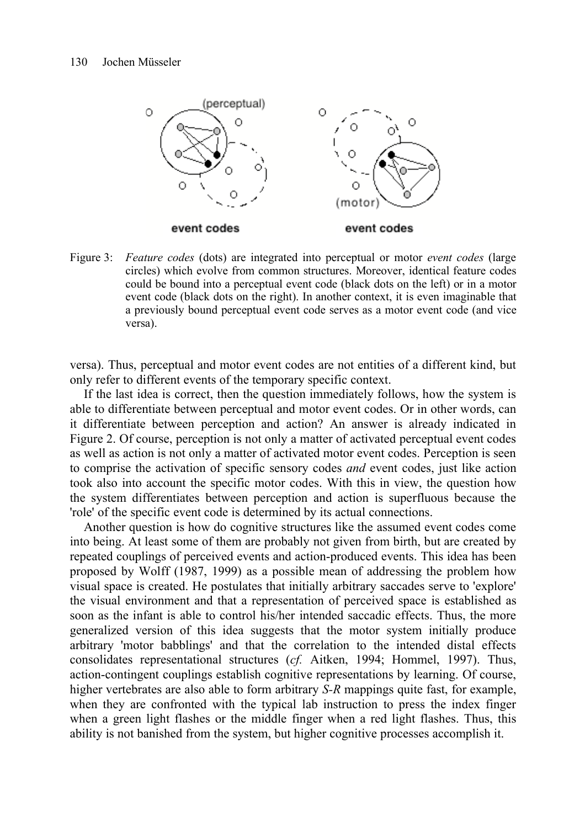

Figure 3: *Feature codes* (dots) are integrated into perceptual or motor *event codes* (large circles) which evolve from common structures. Moreover, identical feature codes could be bound into a perceptual event code (black dots on the left) or in a motor event code (black dots on the right). In another context, it is even imaginable that a previously bound perceptual event code serves as a motor event code (and vice versa).

versa). Thus, perceptual and motor event codes are not entities of a different kind, but only refer to different events of the temporary specific context.

If the last idea is correct, then the question immediately follows, how the system is able to differentiate between perceptual and motor event codes. Or in other words, can it differentiate between perception and action? An answer is already indicated in Figure 2. Of course, perception is not only a matter of activated perceptual event codes as well as action is not only a matter of activated motor event codes. Perception is seen to comprise the activation of specific sensory codes *and* event codes, just like action took also into account the specific motor codes. With this in view, the question how the system differentiates between perception and action is superfluous because the 'role' of the specific event code is determined by its actual connections.

Another question is how do cognitive structures like the assumed event codes come into being. At least some of them are probably not given from birth, but are created by repeated couplings of perceived events and action-produced events. This idea has been proposed by Wolff (1987, 1999) as a possible mean of addressing the problem how visual space is created. He postulates that initially arbitrary saccades serve to 'explore' the visual environment and that a representation of perceived space is established as soon as the infant is able to control his/her intended saccadic effects. Thus, the more generalized version of this idea suggests that the motor system initially produce arbitrary 'motor babblings' and that the correlation to the intended distal effects consolidates representational structures (*cf.* Aitken, 1994; Hommel, 1997). Thus, action-contingent couplings establish cognitive representations by learning. Of course, higher vertebrates are also able to form arbitrary *S-R* mappings quite fast, for example, when they are confronted with the typical lab instruction to press the index finger when a green light flashes or the middle finger when a red light flashes. Thus, this ability is not banished from the system, but higher cognitive processes accomplish it.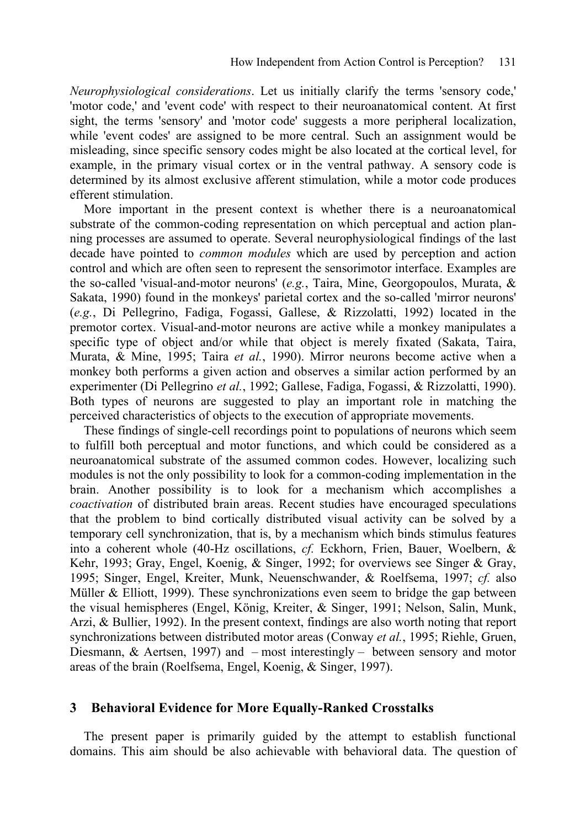*Neurophysiological considerations*. Let us initially clarify the terms 'sensory code,' 'motor code,' and 'event code' with respect to their neuroanatomical content. At first sight, the terms 'sensory' and 'motor code' suggests a more peripheral localization, while 'event codes' are assigned to be more central. Such an assignment would be misleading, since specific sensory codes might be also located at the cortical level, for example, in the primary visual cortex or in the ventral pathway. A sensory code is determined by its almost exclusive afferent stimulation, while a motor code produces efferent stimulation.

More important in the present context is whether there is a neuroanatomical substrate of the common-coding representation on which perceptual and action planning processes are assumed to operate. Several neurophysiological findings of the last decade have pointed to *common modules* which are used by perception and action control and which are often seen to represent the sensorimotor interface. Examples are the so-called 'visual-and-motor neurons' (*e.g.*, Taira, Mine, Georgopoulos, Murata, & Sakata, 1990) found in the monkeys' parietal cortex and the so-called 'mirror neurons' (*e.g.*, Di Pellegrino, Fadiga, Fogassi, Gallese, & Rizzolatti, 1992) located in the premotor cortex. Visual-and-motor neurons are active while a monkey manipulates a specific type of object and/or while that object is merely fixated (Sakata, Taira, Murata, & Mine, 1995; Taira *et al.*, 1990). Mirror neurons become active when a monkey both performs a given action and observes a similar action performed by an experimenter (Di Pellegrino *et al.*, 1992; Gallese, Fadiga, Fogassi, & Rizzolatti, 1990). Both types of neurons are suggested to play an important role in matching the perceived characteristics of objects to the execution of appropriate movements.

These findings of single-cell recordings point to populations of neurons which seem to fulfill both perceptual and motor functions, and which could be considered as a neuroanatomical substrate of the assumed common codes. However, localizing such modules is not the only possibility to look for a common-coding implementation in the brain. Another possibility is to look for a mechanism which accomplishes a *coactivation* of distributed brain areas. Recent studies have encouraged speculations that the problem to bind cortically distributed visual activity can be solved by a temporary cell synchronization, that is, by a mechanism which binds stimulus features into a coherent whole (40-Hz oscillations, *cf.* Eckhorn, Frien, Bauer, Woelbern, & Kehr, 1993; Gray, Engel, Koenig, & Singer, 1992; for overviews see Singer & Gray, 1995; Singer, Engel, Kreiter, Munk, Neuenschwander, & Roelfsema, 1997; *cf.* also Müller & Elliott, 1999). These synchronizations even seem to bridge the gap between the visual hemispheres (Engel, König, Kreiter, & Singer, 1991; Nelson, Salin, Munk, Arzi, & Bullier, 1992). In the present context, findings are also worth noting that report synchronizations between distributed motor areas (Conway *et al.*, 1995; Riehle, Gruen, Diesmann, & Aertsen, 1997) and – most interestingly – between sensory and motor areas of the brain (Roelfsema, Engel, Koenig, & Singer, 1997).

## **3 Behavioral Evidence for More Equally-Ranked Crosstalks**

The present paper is primarily guided by the attempt to establish functional domains. This aim should be also achievable with behavioral data. The question of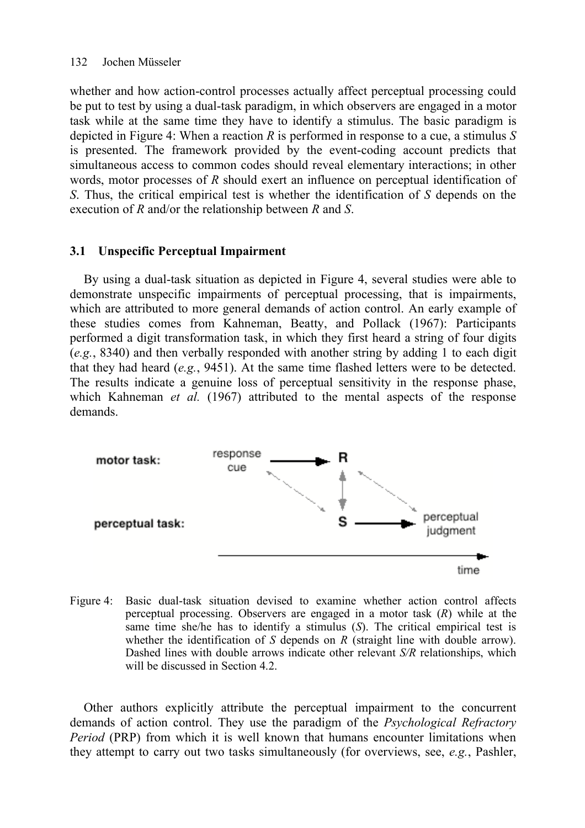#### 132 Jochen Müsseler

whether and how action-control processes actually affect perceptual processing could be put to test by using a dual-task paradigm, in which observers are engaged in a motor task while at the same time they have to identify a stimulus. The basic paradigm is depicted in Figure 4: When a reaction *R* is performed in response to a cue, a stimulus *S* is presented. The framework provided by the event-coding account predicts that simultaneous access to common codes should reveal elementary interactions; in other words, motor processes of *R* should exert an influence on perceptual identification of *S*. Thus, the critical empirical test is whether the identification of *S* depends on the execution of *R* and/or the relationship between *R* and *S*.

## **3.1 Unspecific Perceptual Impairment**

By using a dual-task situation as depicted in Figure 4, several studies were able to demonstrate unspecific impairments of perceptual processing, that is impairments, which are attributed to more general demands of action control. An early example of these studies comes from Kahneman, Beatty, and Pollack (1967): Participants performed a digit transformation task, in which they first heard a string of four digits (*e.g.*, 8340) and then verbally responded with another string by adding 1 to each digit that they had heard (*e.g.*, 9451). At the same time flashed letters were to be detected. The results indicate a genuine loss of perceptual sensitivity in the response phase, which Kahneman *et al.* (1967) attributed to the mental aspects of the response demands.



Figure 4: Basic dual-task situation devised to examine whether action control affects perceptual processing. Observers are engaged in a motor task (*R*) while at the same time she/he has to identify a stimulus (*S*). The critical empirical test is whether the identification of *S* depends on *R* (straight line with double arrow). Dashed lines with double arrows indicate other relevant *S/R* relationships, which will be discussed in Section 4.2.

Other authors explicitly attribute the perceptual impairment to the concurrent demands of action control. They use the paradigm of the *Psychological Refractory Period* (PRP) from which it is well known that humans encounter limitations when they attempt to carry out two tasks simultaneously (for overviews, see, *e.g.*, Pashler,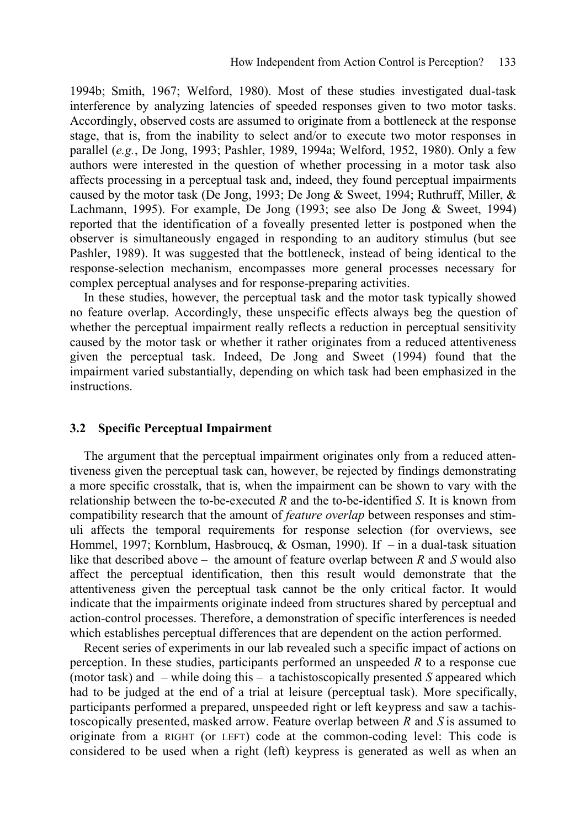1994b; Smith, 1967; Welford, 1980). Most of these studies investigated dual-task interference by analyzing latencies of speeded responses given to two motor tasks. Accordingly, observed costs are assumed to originate from a bottleneck at the response stage, that is, from the inability to select and/or to execute two motor responses in parallel (*e.g.*, De Jong, 1993; Pashler, 1989, 1994a; Welford, 1952, 1980). Only a few authors were interested in the question of whether processing in a motor task also affects processing in a perceptual task and, indeed, they found perceptual impairments caused by the motor task (De Jong, 1993; De Jong & Sweet, 1994; Ruthruff, Miller, & Lachmann, 1995). For example, De Jong  $(1993)$ ; see also De Jong & Sweet, 1994) reported that the identification of a foveally presented letter is postponed when the observer is simultaneously engaged in responding to an auditory stimulus (but see Pashler, 1989). It was suggested that the bottleneck, instead of being identical to the response-selection mechanism, encompasses more general processes necessary for complex perceptual analyses and for response-preparing activities.

In these studies, however, the perceptual task and the motor task typically showed no feature overlap. Accordingly, these unspecific effects always beg the question of whether the perceptual impairment really reflects a reduction in perceptual sensitivity caused by the motor task or whether it rather originates from a reduced attentiveness given the perceptual task. Indeed, De Jong and Sweet (1994) found that the impairment varied substantially, depending on which task had been emphasized in the instructions.

## **3.2 Specific Perceptual Impairment**

The argument that the perceptual impairment originates only from a reduced attentiveness given the perceptual task can, however, be rejected by findings demonstrating a more specific crosstalk, that is, when the impairment can be shown to vary with the relationship between the to-be-executed *R* and the to-be-identified *S*. It is known from compatibility research that the amount of *feature overlap* between responses and stimuli affects the temporal requirements for response selection (for overviews, see Hommel, 1997; Kornblum, Hasbroucq, & Osman, 1990). If – in a dual-task situation like that described above – the amount of feature overlap between *R* and *S* would also affect the perceptual identification, then this result would demonstrate that the attentiveness given the perceptual task cannot be the only critical factor. It would indicate that the impairments originate indeed from structures shared by perceptual and action-control processes. Therefore, a demonstration of specific interferences is needed which establishes perceptual differences that are dependent on the action performed.

Recent series of experiments in our lab revealed such a specific impact of actions on perception. In these studies, participants performed an unspeeded *R* to a response cue (motor task) and – while doing this – a tachistoscopically presented *S* appeared which had to be judged at the end of a trial at leisure (perceptual task). More specifically, participants performed a prepared, unspeeded right or left keypress and saw a tachistoscopically presented, masked arrow. Feature overlap between *R* and *S* is assumed to originate from a RIGHT (or LEFT) code at the common-coding level: This code is considered to be used when a right (left) keypress is generated as well as when an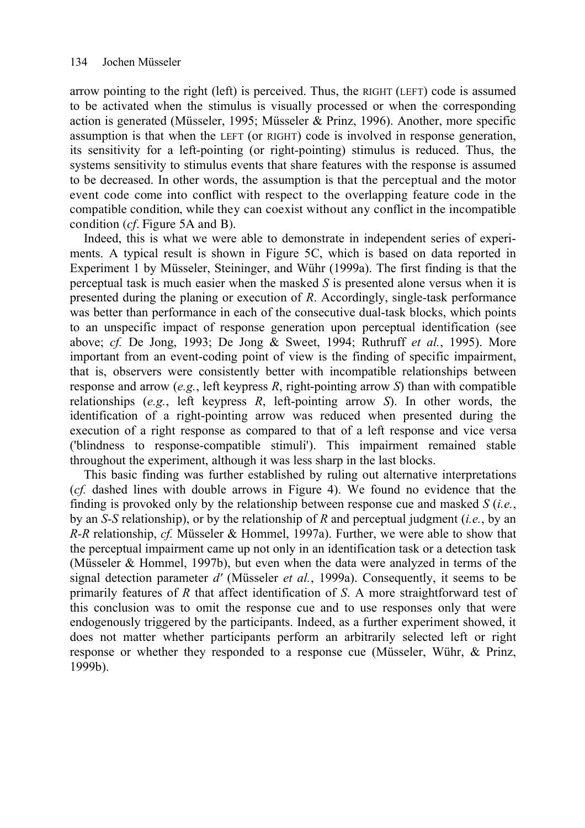arrow pointing to the right (left) is perceived. Thus, the RIGHT (LEFT) code is assumed to be activated when the stimulus is visually processed or when the corresponding action is generated (Müsseler, 1995; Müsseler & Prinz, 1996). Another, more specific assumption is that when the LEFT (or RIGHT) code is involved in response generation, its sensitivity for a left-pointing (or right-pointing) stimulus is reduced. Thus, the systems sensitivity to stimulus events that share features with the response is assumed to be decreased. In other words, the assumption is that the perceptual and the motor event code come into conflict with respect to the overlapping feature code in the compatible condition, while they can coexist without any conflict in the incompatible condition (*cf.* Figure 5A and B).

Indeed, this is what we were able to demonstrate in independent series of experiments. A typical result is shown in Figure 5C, which is based on data reported in Experiment 1 by Müsseler, Steininger, and Wühr (1999a). The first finding is that the perceptual task is much easier when the masked *S* is presented alone versus when it is presented during the planing or execution of *R*. Accordingly, single-task performance was better than performance in each of the consecutive dual-task blocks, which points to an unspecific impact of response generation upon perceptual identification (see above; *cf.* De Jong, 1993; De Jong & Sweet, 1994; Ruthruff *et al.*, 1995). More important from an event-coding point of view is the finding of specific impairment, that is, observers were consistently better with incompatible relationships between response and arrow (*e.g.*, left keypress *R*, right-pointing arrow *S*) than with compatible relationships (*e.g.*, left keypress *R*, left-pointing arrow *S*). In other words, the identification of a right-pointing arrow was reduced when presented during the execution of a right response as compared to that of a left response and vice versa ('blindness to response-compatible stimuli'). This impairment remained stable throughout the experiment, although it was less sharp in the last blocks.

This basic finding was further established by ruling out alternative interpretations (*cf.* dashed lines with double arrows in Figure 4). We found no evidence that the finding is provoked only by the relationship between response cue and masked *S* (*i.e.*, by an *S-S* relationship), or by the relationship of *R* and perceptual judgment (*i.e.*, by an *R-R* relationship, *cf.* Müsseler & Hommel, 1997a). Further, we were able to show that the perceptual impairment came up not only in an identification task or a detection task (Müsseler & Hommel, 1997b), but even when the data were analyzed in terms of the signal detection parameter *d'* (Müsseler *et al.*, 1999a). Consequently, it seems to be primarily features of *R* that affect identification of *S*. A more straightforward test of this conclusion was to omit the response cue and to use responses only that were endogenously triggered by the participants. Indeed, as a further experiment showed, it does not matter whether participants perform an arbitrarily selected left or right response or whether they responded to a response cue (Müsseler, Wühr, & Prinz, 1999b).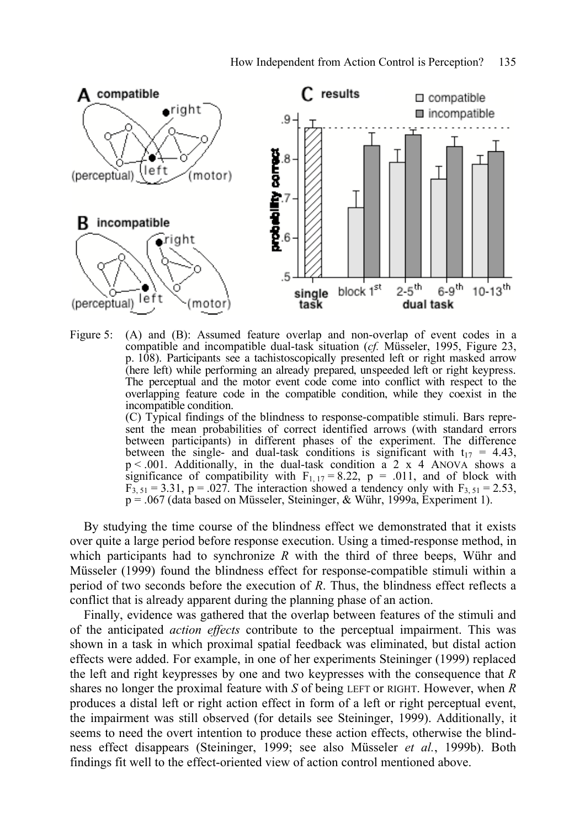

Figure 5: (A) and (B): Assumed feature overlap and non-overlap of event codes in a compatible and incompatible dual-task situation (*cf.* Müsseler, 1995, Figure 23, p. 108). Participants see a tachistoscopically presented left or right masked arrow (here left) while performing an already prepared, unspeeded left or right keypress. The perceptual and the motor event code come into conflict with respect to the overlapping feature code in the compatible condition, while they coexist in the incompatible condition. (C) Typical findings of the blindness to response-compatible stimuli. Bars repre-

sent the mean probabilities of correct identified arrows (with standard errors between participants) in different phases of the experiment. The difference between the single- and dual-task conditions is significant with  $t_{17} = 4.43$ ,  $p < .001$ . Additionally, in the dual-task condition a 2 x 4 ANOVA shows a significance of compatibility with  $F_{1, 17} = 8.22$ ,  $p = .011$ , and of block with  $F_{3, 51} = 3.31$ , p = .027. The interaction showed a tendency only with  $F_{3, 51} = 2.53$ , p = .067 (data based on Müsseler, Steininger, & Wühr, 1999a, Experiment 1).

By studying the time course of the blindness effect we demonstrated that it exists over quite a large period before response execution. Using a timed-response method, in which participants had to synchronize *R* with the third of three beeps, Wühr and Müsseler (1999) found the blindness effect for response-compatible stimuli within a period of two seconds before the execution of *R*. Thus, the blindness effect reflects a conflict that is already apparent during the planning phase of an action.

Finally, evidence was gathered that the overlap between features of the stimuli and of the anticipated *action effects* contribute to the perceptual impairment. This was shown in a task in which proximal spatial feedback was eliminated, but distal action effects were added. For example, in one of her experiments Steininger (1999) replaced the left and right keypresses by one and two keypresses with the consequence that *R* shares no longer the proximal feature with *S* of being LEFT or RIGHT. However, when *R* produces a distal left or right action effect in form of a left or right perceptual event, the impairment was still observed (for details see Steininger, 1999). Additionally, it seems to need the overt intention to produce these action effects, otherwise the blindness effect disappears (Steininger, 1999; see also Müsseler *et al.*, 1999b). Both findings fit well to the effect-oriented view of action control mentioned above.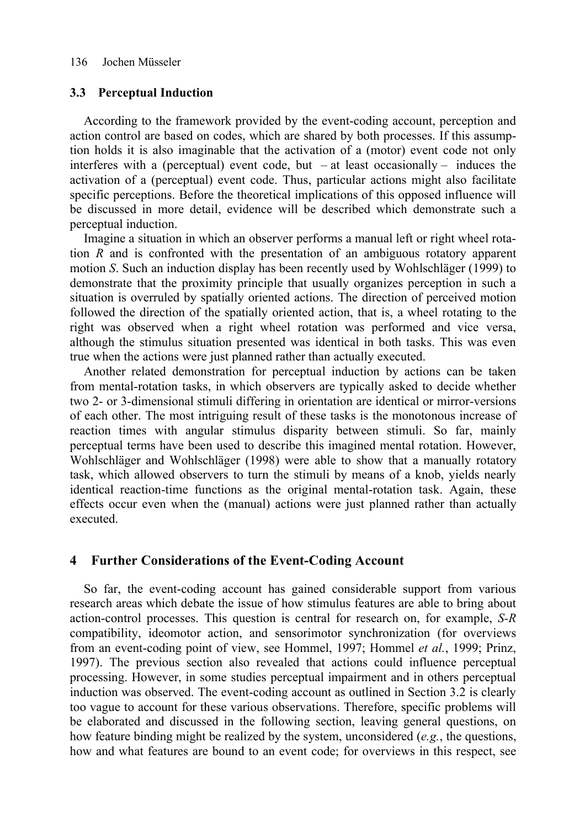### **3.3 Perceptual Induction**

According to the framework provided by the event-coding account, perception and action control are based on codes, which are shared by both processes. If this assumption holds it is also imaginable that the activation of a (motor) event code not only interferes with a (perceptual) event code, but  $-$  at least occasionally  $-$  induces the activation of a (perceptual) event code. Thus, particular actions might also facilitate specific perceptions. Before the theoretical implications of this opposed influence will be discussed in more detail, evidence will be described which demonstrate such a perceptual induction.

Imagine a situation in which an observer performs a manual left or right wheel rotation *R* and is confronted with the presentation of an ambiguous rotatory apparent motion *S*. Such an induction display has been recently used by Wohlschläger (1999) to demonstrate that the proximity principle that usually organizes perception in such a situation is overruled by spatially oriented actions. The direction of perceived motion followed the direction of the spatially oriented action, that is, a wheel rotating to the right was observed when a right wheel rotation was performed and vice versa, although the stimulus situation presented was identical in both tasks. This was even true when the actions were just planned rather than actually executed.

Another related demonstration for perceptual induction by actions can be taken from mental-rotation tasks, in which observers are typically asked to decide whether two 2- or 3-dimensional stimuli differing in orientation are identical or mirror-versions of each other. The most intriguing result of these tasks is the monotonous increase of reaction times with angular stimulus disparity between stimuli. So far, mainly perceptual terms have been used to describe this imagined mental rotation. However, Wohlschläger and Wohlschläger (1998) were able to show that a manually rotatory task, which allowed observers to turn the stimuli by means of a knob, yields nearly identical reaction-time functions as the original mental-rotation task. Again, these effects occur even when the (manual) actions were just planned rather than actually executed.

## **4 Further Considerations of the Event-Coding Account**

So far, the event-coding account has gained considerable support from various research areas which debate the issue of how stimulus features are able to bring about action-control processes. This question is central for research on, for example, *S-R* compatibility, ideomotor action, and sensorimotor synchronization (for overviews from an event-coding point of view, see Hommel, 1997; Hommel *et al.*, 1999; Prinz, 1997). The previous section also revealed that actions could influence perceptual processing. However, in some studies perceptual impairment and in others perceptual induction was observed. The event-coding account as outlined in Section 3.2 is clearly too vague to account for these various observations. Therefore, specific problems will be elaborated and discussed in the following section, leaving general questions, on how feature binding might be realized by the system, unconsidered (*e.g.*, the questions, how and what features are bound to an event code; for overviews in this respect, see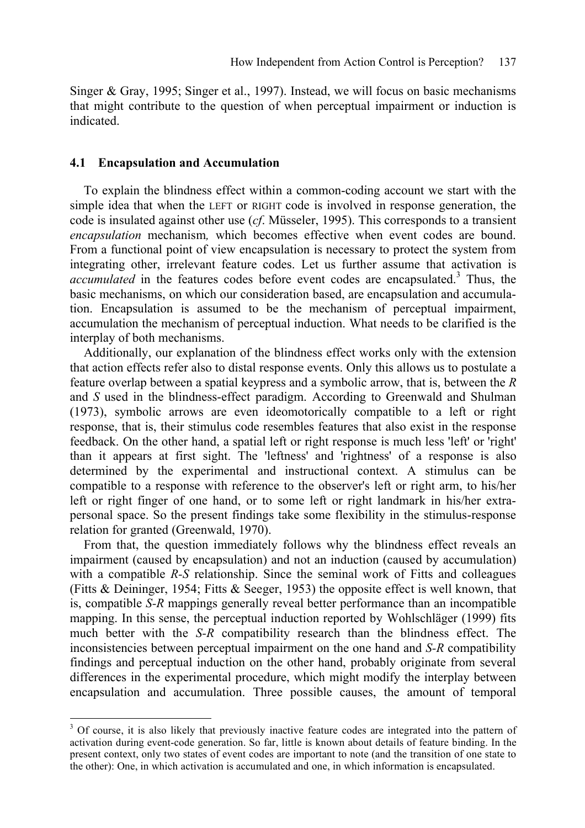Singer & Gray, 1995; Singer et al., 1997). Instead, we will focus on basic mechanisms that might contribute to the question of when perceptual impairment or induction is indicated.

## **4.1 Encapsulation and Accumulation**

To explain the blindness effect within a common-coding account we start with the simple idea that when the LEFT or RIGHT code is involved in response generation, the code is insulated against other use (*cf*. Müsseler, 1995). This corresponds to a transient *encapsulation* mechanism*,* which becomes effective when event codes are bound. From a functional point of view encapsulation is necessary to protect the system from integrating other, irrelevant feature codes. Let us further assume that activation is *accumulated* in the features codes before event codes are encapsulated.<sup>3</sup> Thus, the basic mechanisms, on which our consideration based, are encapsulation and accumulation. Encapsulation is assumed to be the mechanism of perceptual impairment, accumulation the mechanism of perceptual induction. What needs to be clarified is the interplay of both mechanisms.

Additionally, our explanation of the blindness effect works only with the extension that action effects refer also to distal response events. Only this allows us to postulate a feature overlap between a spatial keypress and a symbolic arrow, that is, between the *R* and *S* used in the blindness-effect paradigm. According to Greenwald and Shulman (1973), symbolic arrows are even ideomotorically compatible to a left or right response, that is, their stimulus code resembles features that also exist in the response feedback. On the other hand, a spatial left or right response is much less 'left' or 'right' than it appears at first sight. The 'leftness' and 'rightness' of a response is also determined by the experimental and instructional context. A stimulus can be compatible to a response with reference to the observer's left or right arm, to his/her left or right finger of one hand, or to some left or right landmark in his/her extrapersonal space. So the present findings take some flexibility in the stimulus-response relation for granted (Greenwald, 1970).

From that, the question immediately follows why the blindness effect reveals an impairment (caused by encapsulation) and not an induction (caused by accumulation) with a compatible *R-S* relationship. Since the seminal work of Fitts and colleagues (Fitts & Deininger, 1954; Fitts & Seeger, 1953) the opposite effect is well known, that is, compatible *S-R* mappings generally reveal better performance than an incompatible mapping. In this sense, the perceptual induction reported by Wohlschläger (1999) fits much better with the *S-R* compatibility research than the blindness effect. The inconsistencies between perceptual impairment on the one hand and *S-R* compatibility findings and perceptual induction on the other hand, probably originate from several differences in the experimental procedure, which might modify the interplay between encapsulation and accumulation. Three possible causes, the amount of temporal

<sup>&</sup>lt;sup>3</sup> Of course, it is also likely that previously inactive feature codes are integrated into the pattern of activation during event-code generation. So far, little is known about details of feature binding. In the present context, only two states of event codes are important to note (and the transition of one state to the other): One, in which activation is accumulated and one, in which information is encapsulated.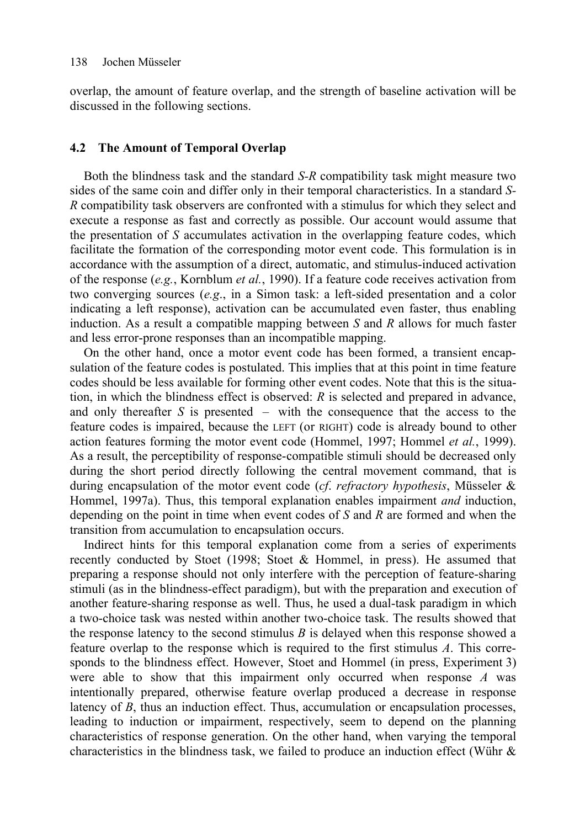overlap, the amount of feature overlap, and the strength of baseline activation will be discussed in the following sections.

## **4.2 The Amount of Temporal Overlap**

Both the blindness task and the standard *S-R* compatibility task might measure two sides of the same coin and differ only in their temporal characteristics. In a standard *S-R* compatibility task observers are confronted with a stimulus for which they select and execute a response as fast and correctly as possible. Our account would assume that the presentation of *S* accumulates activation in the overlapping feature codes, which facilitate the formation of the corresponding motor event code. This formulation is in accordance with the assumption of a direct, automatic, and stimulus-induced activation of the response (*e.g.*, Kornblum *et al.*, 1990). If a feature code receives activation from two converging sources (*e.g*., in a Simon task: a left-sided presentation and a color indicating a left response), activation can be accumulated even faster, thus enabling induction. As a result a compatible mapping between *S* and *R* allows for much faster and less error-prone responses than an incompatible mapping.

On the other hand, once a motor event code has been formed, a transient encapsulation of the feature codes is postulated. This implies that at this point in time feature codes should be less available for forming other event codes. Note that this is the situation, in which the blindness effect is observed: *R* is selected and prepared in advance, and only thereafter *S* is presented – with the consequence that the access to the feature codes is impaired, because the LEFT (or RIGHT) code is already bound to other action features forming the motor event code (Hommel, 1997; Hommel *et al.*, 1999). As a result, the perceptibility of response-compatible stimuli should be decreased only during the short period directly following the central movement command, that is during encapsulation of the motor event code (*cf*. *refractory hypothesis*, Müsseler & Hommel, 1997a). Thus, this temporal explanation enables impairment *and* induction, depending on the point in time when event codes of *S* and *R* are formed and when the transition from accumulation to encapsulation occurs.

Indirect hints for this temporal explanation come from a series of experiments recently conducted by Stoet (1998; Stoet & Hommel, in press). He assumed that preparing a response should not only interfere with the perception of feature-sharing stimuli (as in the blindness-effect paradigm), but with the preparation and execution of another feature-sharing response as well. Thus, he used a dual-task paradigm in which a two-choice task was nested within another two-choice task. The results showed that the response latency to the second stimulus *B* is delayed when this response showed a feature overlap to the response which is required to the first stimulus *A*. This corresponds to the blindness effect. However, Stoet and Hommel (in press, Experiment 3) were able to show that this impairment only occurred when response *A* was intentionally prepared, otherwise feature overlap produced a decrease in response latency of *B*, thus an induction effect. Thus, accumulation or encapsulation processes, leading to induction or impairment, respectively, seem to depend on the planning characteristics of response generation. On the other hand, when varying the temporal characteristics in the blindness task, we failed to produce an induction effect (Wühr &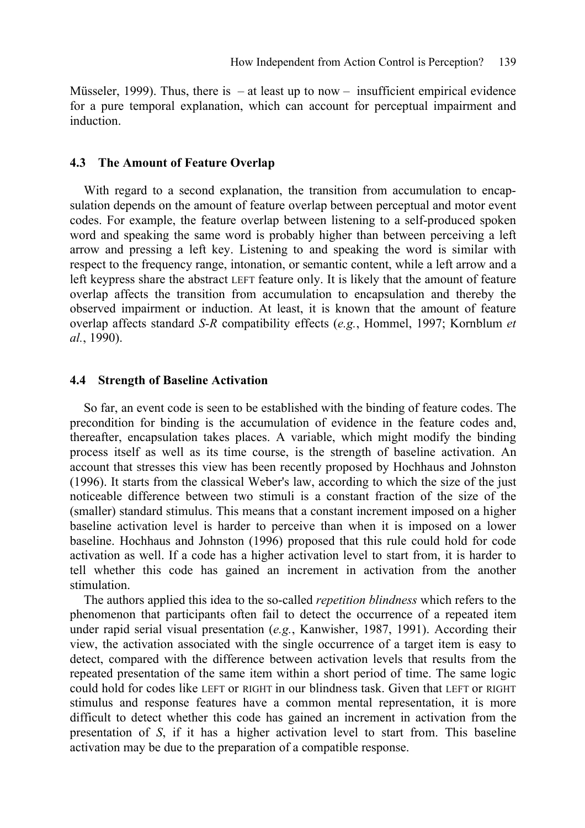Müsseler, 1999). Thus, there is  $-$  at least up to now  $-$  insufficient empirical evidence for a pure temporal explanation, which can account for perceptual impairment and induction.

## **4.3 The Amount of Feature Overlap**

With regard to a second explanation, the transition from accumulation to encapsulation depends on the amount of feature overlap between perceptual and motor event codes. For example, the feature overlap between listening to a self-produced spoken word and speaking the same word is probably higher than between perceiving a left arrow and pressing a left key. Listening to and speaking the word is similar with respect to the frequency range, intonation, or semantic content, while a left arrow and a left keypress share the abstract LEFT feature only. It is likely that the amount of feature overlap affects the transition from accumulation to encapsulation and thereby the observed impairment or induction. At least, it is known that the amount of feature overlap affects standard *S-R* compatibility effects (*e.g.*, Hommel, 1997; Kornblum *et al.*, 1990).

# **4.4 Strength of Baseline Activation**

So far, an event code is seen to be established with the binding of feature codes. The precondition for binding is the accumulation of evidence in the feature codes and, thereafter, encapsulation takes places. A variable, which might modify the binding process itself as well as its time course, is the strength of baseline activation. An account that stresses this view has been recently proposed by Hochhaus and Johnston (1996). It starts from the classical Weber's law, according to which the size of the just noticeable difference between two stimuli is a constant fraction of the size of the (smaller) standard stimulus. This means that a constant increment imposed on a higher baseline activation level is harder to perceive than when it is imposed on a lower baseline. Hochhaus and Johnston (1996) proposed that this rule could hold for code activation as well. If a code has a higher activation level to start from, it is harder to tell whether this code has gained an increment in activation from the another stimulation.

The authors applied this idea to the so-called *repetition blindness* which refers to the phenomenon that participants often fail to detect the occurrence of a repeated item under rapid serial visual presentation (*e.g.*, Kanwisher, 1987, 1991). According their view, the activation associated with the single occurrence of a target item is easy to detect, compared with the difference between activation levels that results from the repeated presentation of the same item within a short period of time. The same logic could hold for codes like LEFT or RIGHT in our blindness task. Given that LEFT or RIGHT stimulus and response features have a common mental representation, it is more difficult to detect whether this code has gained an increment in activation from the presentation of *S*, if it has a higher activation level to start from. This baseline activation may be due to the preparation of a compatible response.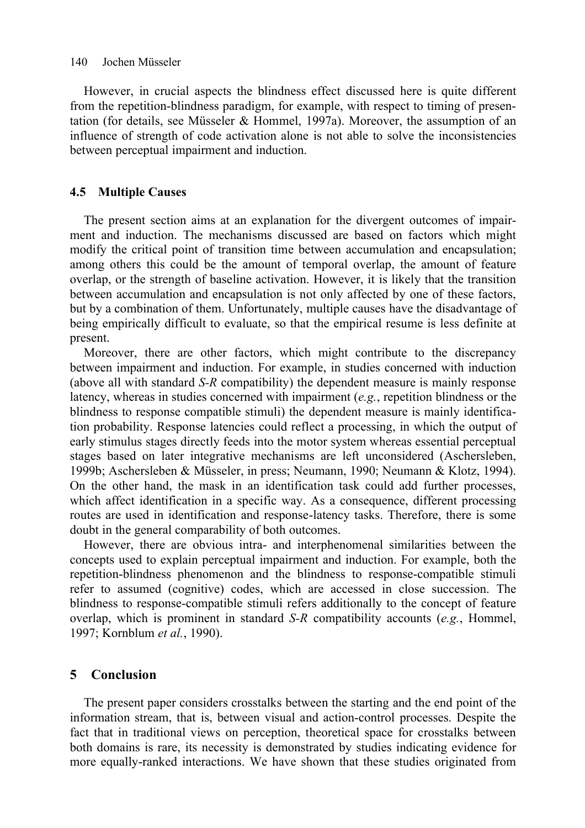#### 140 Jochen Müsseler

However, in crucial aspects the blindness effect discussed here is quite different from the repetition-blindness paradigm, for example, with respect to timing of presentation (for details, see Müsseler & Hommel, 1997a). Moreover, the assumption of an influence of strength of code activation alone is not able to solve the inconsistencies between perceptual impairment and induction.

## **4.5 Multiple Causes**

The present section aims at an explanation for the divergent outcomes of impairment and induction. The mechanisms discussed are based on factors which might modify the critical point of transition time between accumulation and encapsulation; among others this could be the amount of temporal overlap, the amount of feature overlap, or the strength of baseline activation. However, it is likely that the transition between accumulation and encapsulation is not only affected by one of these factors, but by a combination of them. Unfortunately, multiple causes have the disadvantage of being empirically difficult to evaluate, so that the empirical resume is less definite at present.

Moreover, there are other factors, which might contribute to the discrepancy between impairment and induction. For example, in studies concerned with induction (above all with standard *S-R* compatibility) the dependent measure is mainly response latency, whereas in studies concerned with impairment (*e.g.*, repetition blindness or the blindness to response compatible stimuli) the dependent measure is mainly identification probability. Response latencies could reflect a processing, in which the output of early stimulus stages directly feeds into the motor system whereas essential perceptual stages based on later integrative mechanisms are left unconsidered (Aschersleben, 1999b; Aschersleben & Müsseler, in press; Neumann, 1990; Neumann & Klotz, 1994). On the other hand, the mask in an identification task could add further processes, which affect identification in a specific way. As a consequence, different processing routes are used in identification and response-latency tasks. Therefore, there is some doubt in the general comparability of both outcomes.

However, there are obvious intra- and interphenomenal similarities between the concepts used to explain perceptual impairment and induction. For example, both the repetition-blindness phenomenon and the blindness to response-compatible stimuli refer to assumed (cognitive) codes, which are accessed in close succession. The blindness to response-compatible stimuli refers additionally to the concept of feature overlap, which is prominent in standard *S-R* compatibility accounts (*e.g.*, Hommel, 1997; Kornblum *et al.*, 1990).

## **5 Conclusion**

The present paper considers crosstalks between the starting and the end point of the information stream, that is, between visual and action-control processes. Despite the fact that in traditional views on perception, theoretical space for crosstalks between both domains is rare, its necessity is demonstrated by studies indicating evidence for more equally-ranked interactions. We have shown that these studies originated from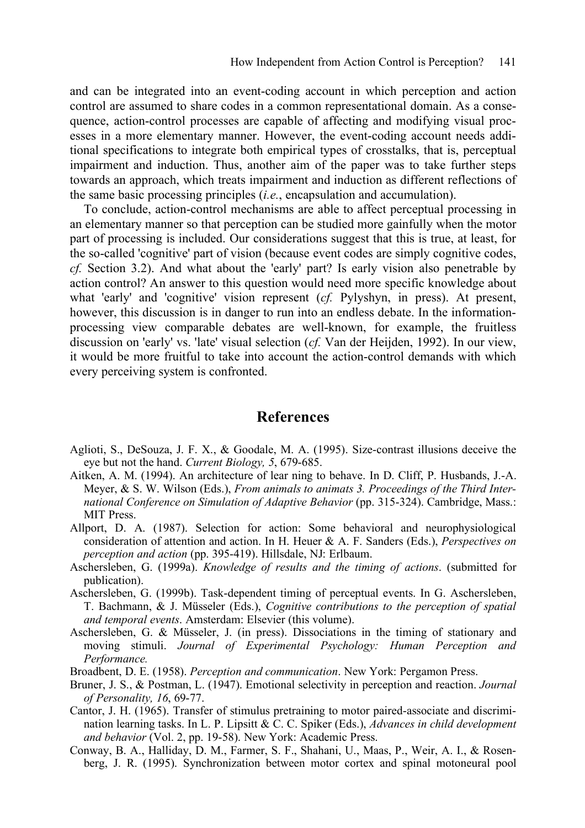and can be integrated into an event-coding account in which perception and action control are assumed to share codes in a common representational domain. As a consequence, action-control processes are capable of affecting and modifying visual processes in a more elementary manner. However, the event-coding account needs additional specifications to integrate both empirical types of crosstalks, that is, perceptual impairment and induction. Thus, another aim of the paper was to take further steps towards an approach, which treats impairment and induction as different reflections of the same basic processing principles (*i.e.*, encapsulation and accumulation).

To conclude, action-control mechanisms are able to affect perceptual processing in an elementary manner so that perception can be studied more gainfully when the motor part of processing is included. Our considerations suggest that this is true, at least, for the so-called 'cognitive' part of vision (because event codes are simply cognitive codes, *cf.* Section 3.2). And what about the 'early' part? Is early vision also penetrable by action control? An answer to this question would need more specific knowledge about what 'early' and 'cognitive' vision represent (*cf.* Pylyshyn, in press). At present, however, this discussion is in danger to run into an endless debate. In the informationprocessing view comparable debates are well-known, for example, the fruitless discussion on 'early' vs. 'late' visual selection (*cf.* Van der Heijden, 1992). In our view, it would be more fruitful to take into account the action-control demands with which every perceiving system is confronted.

# **References**

- Aglioti, S., DeSouza, J. F. X., & Goodale, M. A. (1995). Size-contrast illusions deceive the eye but not the hand. *Current Biology, 5*, 679-685.
- Aitken, A. M. (1994). An architecture of lear ning to behave. In D. Cliff, P. Husbands, J.-A. Meyer, & S. W. Wilson (Eds.), *From animals to animats 3. Proceedings of the Third International Conference on Simulation of Adaptive Behavior* (pp. 315-324). Cambridge, Mass.: **MIT Press.**
- Allport, D. A. (1987). Selection for action: Some behavioral and neurophysiological consideration of attention and action. In H. Heuer & A. F. Sanders (Eds.), *Perspectives on perception and action* (pp. 395-419). Hillsdale, NJ: Erlbaum.
- Aschersleben, G. (1999a). *Knowledge of results and the timing of actions*. (submitted for publication).
- Aschersleben, G. (1999b). Task-dependent timing of perceptual events. In G. Aschersleben, T. Bachmann, & J. Müsseler (Eds.), *Cognitive contributions to the perception of spatial and temporal events*. Amsterdam: Elsevier (this volume).
- Aschersleben, G. & Müsseler, J. (in press). Dissociations in the timing of stationary and moving stimuli. *Journal of Experimental Psychology: Human Perception and Performance.*
- Broadbent, D. E. (1958). *Perception and communication*. New York: Pergamon Press.
- Bruner, J. S., & Postman, L. (1947). Emotional selectivity in perception and reaction. *Journal of Personality, 16*, 69-77.
- Cantor, J. H. (1965). Transfer of stimulus pretraining to motor paired-associate and discrimination learning tasks. In L. P. Lipsitt & C. C. Spiker (Eds.), *Advances in child development and behavior* (Vol. 2, pp. 19-58). New York: Academic Press.
- Conway, B. A., Halliday, D. M., Farmer, S. F., Shahani, U., Maas, P., Weir, A. I., & Rosenberg, J. R. (1995). Synchronization between motor cortex and spinal motoneural pool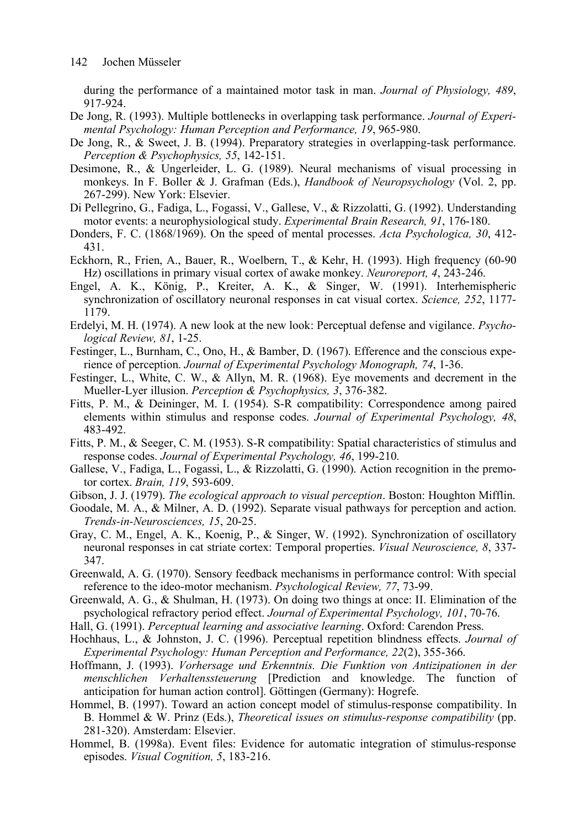during the performance of a maintained motor task in man. *Journal of Physiology, 489*, 917-924.

- De Jong, R. (1993). Multiple bottlenecks in overlapping task performance. *Journal of Experimental Psychology: Human Perception and Performance, 19*, 965-980.
- De Jong, R., & Sweet, J. B. (1994). Preparatory strategies in overlapping-task performance. *Perception & Psychophysics, 55*, 142-151.
- Desimone, R., & Ungerleider, L. G. (1989). Neural mechanisms of visual processing in monkeys. In F. Boller & J. Grafman (Eds.), *Handbook of Neuropsychology* (Vol. 2, pp. 267-299). New York: Elsevier.
- Di Pellegrino, G., Fadiga, L., Fogassi, V., Gallese, V., & Rizzolatti, G. (1992). Understanding motor events: a neurophysiological study. *Experimental Brain Research, 91*, 176-180.
- Donders, F. C. (1868/1969). On the speed of mental processes. *Acta Psychologica, 30*, 412- 431.
- Eckhorn, R., Frien, A., Bauer, R., Woelbern, T., & Kehr, H. (1993). High frequency (60-90 Hz) oscillations in primary visual cortex of awake monkey. *Neuroreport, 4*, 243-246.
- Engel, A. K., König, P., Kreiter, A. K., & Singer, W. (1991). Interhemispheric synchronization of oscillatory neuronal responses in cat visual cortex. *Science, 252*, 1177- 1179.
- Erdelyi, M. H. (1974). A new look at the new look: Perceptual defense and vigilance. *Psychological Review, 81*, 1-25.
- Festinger, L., Burnham, C., Ono, H., & Bamber, D. (1967). Efference and the conscious experience of perception. *Journal of Experimental Psychology Monograph, 74*, 1-36.
- Festinger, L., White, C. W., & Allyn, M. R. (1968). Eye movements and decrement in the Mueller-Lyer illusion. *Perception & Psychophysics, 3*, 376-382.
- Fitts, P. M., & Deininger, M. I. (1954). S-R compatibility: Correspondence among paired elements within stimulus and response codes. *Journal of Experimental Psychology, 48*, 483-492.
- Fitts, P. M., & Seeger, C. M. (1953). S-R compatibility: Spatial characteristics of stimulus and response codes. *Journal of Experimental Psychology, 46*, 199-210.
- Gallese, V., Fadiga, L., Fogassi, L., & Rizzolatti, G. (1990). Action recognition in the premotor cortex. *Brain, 119*, 593-609.
- Gibson, J. J. (1979). *The ecological approach to visual perception*. Boston: Houghton Mifflin.
- Goodale, M. A., & Milner, A. D. (1992). Separate visual pathways for perception and action. *Trends-in-Neurosciences, 15*, 20-25.
- Gray, C. M., Engel, A. K., Koenig, P., & Singer, W. (1992). Synchronization of oscillatory neuronal responses in cat striate cortex: Temporal properties. *Visual Neuroscience, 8*, 337- 347.
- Greenwald, A. G. (1970). Sensory feedback mechanisms in performance control: With special reference to the ideo-motor mechanism. *Psychological Review, 77*, 73-99.
- Greenwald, A. G., & Shulman, H. (1973). On doing two things at once: II. Elimination of the psychological refractory period effect. *Journal of Experimental Psychology, 101*, 70-76.
- Hall, G. (1991). *Perceptual learning and associative learning*. Oxford: Carendon Press.
- Hochhaus, L., & Johnston, J. C. (1996). Perceptual repetition blindness effects. *Journal of Experimental Psychology: Human Perception and Performance, 22*(2), 355-366.
- Hoffmann, J. (1993). *Vorhersage und Erkenntnis. Die Funktion von Antizipationen in der menschlichen Verhaltenssteuerung* [Prediction and knowledge. The function of anticipation for human action control]. Göttingen (Germany): Hogrefe.
- Hommel, B. (1997). Toward an action concept model of stimulus-response compatibility. In B. Hommel & W. Prinz (Eds.), *Theoretical issues on stimulus-response compatibility* (pp. 281-320). Amsterdam: Elsevier.
- Hommel, B. (1998a). Event files: Evidence for automatic integration of stimulus-response episodes. *Visual Cognition, 5*, 183-216.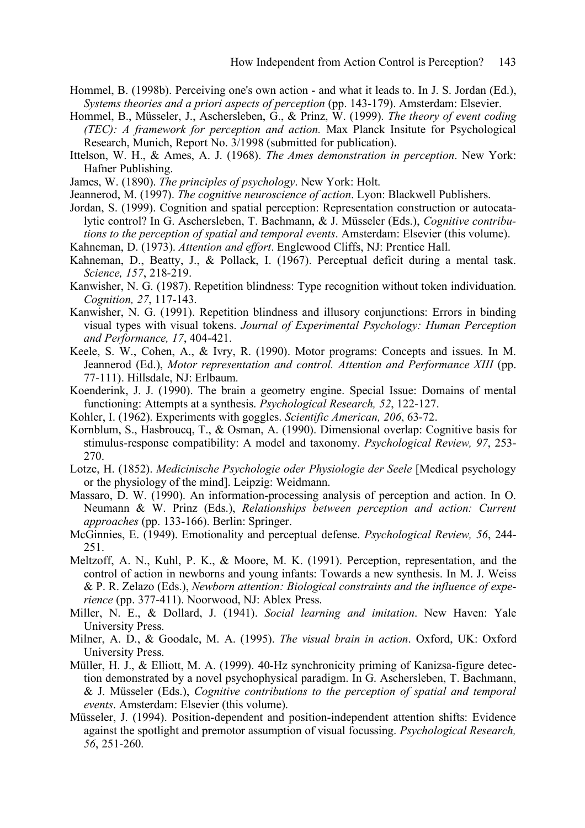- Hommel, B. (1998b). Perceiving one's own action and what it leads to. In J. S. Jordan (Ed.), *Systems theories and a priori aspects of perception* (pp. 143-179). Amsterdam: Elsevier.
- Hommel, B., Müsseler, J., Aschersleben, G., & Prinz, W. (1999). *The theory of event coding (TEC): A framework for perception and action.* Max Planck Insitute for Psychological Research, Munich, Report No. 3/1998 (submitted for publication).
- Ittelson, W. H., & Ames, A. J. (1968). *The Ames demonstration in perception*. New York: Hafner Publishing.
- James, W. (1890). *The principles of psychology*. New York: Holt.
- Jeannerod, M. (1997). *The cognitive neuroscience of action*. Lyon: Blackwell Publishers.
- Jordan, S. (1999). Cognition and spatial perception: Representation construction or autocatalytic control? In G. Aschersleben, T. Bachmann, & J. Müsseler (Eds.), *Cognitive contributions to the perception of spatial and temporal events*. Amsterdam: Elsevier (this volume).
- Kahneman, D. (1973). *Attention and effort*. Englewood Cliffs, NJ: Prentice Hall.
- Kahneman, D., Beatty, J., & Pollack, I. (1967). Perceptual deficit during a mental task. *Science, 157*, 218-219.
- Kanwisher, N. G. (1987). Repetition blindness: Type recognition without token individuation. *Cognition, 27*, 117-143.
- Kanwisher, N. G. (1991). Repetition blindness and illusory conjunctions: Errors in binding visual types with visual tokens. *Journal of Experimental Psychology: Human Perception and Performance, 17*, 404-421.
- Keele, S. W., Cohen, A., & Ivry, R. (1990). Motor programs: Concepts and issues. In M. Jeannerod (Ed.), *Motor representation and control. Attention and Performance XIII* (pp. 77-111). Hillsdale, NJ: Erlbaum.
- Koenderink, J. J. (1990). The brain a geometry engine. Special Issue: Domains of mental functioning: Attempts at a synthesis. *Psychological Research, 52*, 122-127.
- Kohler, I. (1962). Experiments with goggles. *Scientific American, 206*, 63-72.
- Kornblum, S., Hasbroucq, T., & Osman, A. (1990). Dimensional overlap: Cognitive basis for stimulus-response compatibility: A model and taxonomy. *Psychological Review, 97*, 253- 270.
- Lotze, H. (1852). *Medicinische Psychologie oder Physiologie der Seele* [Medical psychology or the physiology of the mind]. Leipzig: Weidmann.
- Massaro, D. W. (1990). An information-processing analysis of perception and action. In O. Neumann & W. Prinz (Eds.), *Relationships between perception and action: Current approaches* (pp. 133-166). Berlin: Springer.
- McGinnies, E. (1949). Emotionality and perceptual defense. *Psychological Review, 56*, 244- 251.
- Meltzoff, A. N., Kuhl, P. K., & Moore, M. K. (1991). Perception, representation, and the control of action in newborns and young infants: Towards a new synthesis. In M. J. Weiss & P. R. Zelazo (Eds.), *Newborn attention: Biological constraints and the influence of experience* (pp. 377-411). Noorwood, NJ: Ablex Press.
- Miller, N. E., & Dollard, J. (1941). *Social learning and imitation*. New Haven: Yale University Press.
- Milner, A. D., & Goodale, M. A. (1995). *The visual brain in action*. Oxford, UK: Oxford University Press.
- Müller, H. J., & Elliott, M. A. (1999). 40-Hz synchronicity priming of Kanizsa-figure detection demonstrated by a novel psychophysical paradigm. In G. Aschersleben, T. Bachmann, & J. Müsseler (Eds.), *Cognitive contributions to the perception of spatial and temporal events*. Amsterdam: Elsevier (this volume).
- Müsseler, J. (1994). Position-dependent and position-independent attention shifts: Evidence against the spotlight and premotor assumption of visual focussing. *Psychological Research, 56*, 251-260.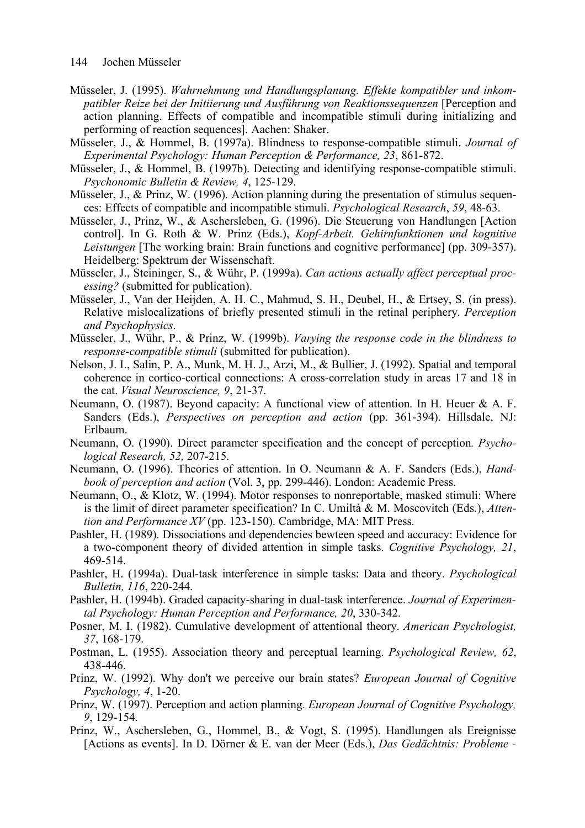#### 144 Jochen Müsseler

- Müsseler, J. (1995). *Wahrnehmung und Handlungsplanung. Effekte kompatibler und inkompatibler Reize bei der Initiierung und Ausführung von Reaktionssequenzen* [Perception and action planning. Effects of compatible and incompatible stimuli during initializing and performing of reaction sequences]. Aachen: Shaker.
- Müsseler, J., & Hommel, B. (1997a). Blindness to response-compatible stimuli. *Journal of Experimental Psychology: Human Perception & Performance, 23*, 861-872.
- Müsseler, J., & Hommel, B. (1997b). Detecting and identifying response-compatible stimuli. *Psychonomic Bulletin & Review, 4*, 125-129.
- Müsseler, J., & Prinz, W. (1996). Action planning during the presentation of stimulus sequences: Effects of compatible and incompatible stimuli. *Psychological Research*, *59*, 48-63.
- Müsseler, J., Prinz, W., & Aschersleben, G. (1996). Die Steuerung von Handlungen [Action control]. In G. Roth & W. Prinz (Eds.), *Kopf-Arbeit. Gehirnfunktionen und kognitive Leistungen* [The working brain: Brain functions and cognitive performance] (pp. 309-357). Heidelberg: Spektrum der Wissenschaft.
- Müsseler, J., Steininger, S., & Wühr, P. (1999a). *Can actions actually affect perceptual processing?* (submitted for publication).
- Müsseler, J., Van der Heijden, A. H. C., Mahmud, S. H., Deubel, H., & Ertsey, S. (in press). Relative mislocalizations of briefly presented stimuli in the retinal periphery. *Perception and Psychophysics*.
- Müsseler, J., Wühr, P., & Prinz, W. (1999b). *Varying the response code in the blindness to response-compatible stimuli* (submitted for publication).
- Nelson, J. I., Salin, P. A., Munk, M. H. J., Arzi, M., & Bullier, J. (1992). Spatial and temporal coherence in cortico-cortical connections: A cross-correlation study in areas 17 and 18 in the cat. *Visual Neuroscience, 9*, 21-37.
- Neumann, O. (1987). Beyond capacity: A functional view of attention. In H. Heuer & A. F. Sanders (Eds.), *Perspectives on perception and action* (pp. 361-394). Hillsdale, NJ: Erlbaum.
- Neumann, O. (1990). Direct parameter specification and the concept of perception*. Psychological Research, 52,* 207-215.
- Neumann, O. (1996). Theories of attention. In O. Neumann & A. F. Sanders (Eds.), *Handbook of perception and action* (Vol. 3, pp. 299-446). London: Academic Press.
- Neumann, O., & Klotz, W. (1994). Motor responses to nonreportable, masked stimuli: Where is the limit of direct parameter specification? In C. Umiltà & M. Moscovitch (Eds.), *Attention and Performance XV* (pp. 123-150). Cambridge, MA: MIT Press.
- Pashler, H. (1989). Dissociations and dependencies bewteen speed and accuracy: Evidence for a two-component theory of divided attention in simple tasks. *Cognitive Psychology, 21*, 469-514.
- Pashler, H. (1994a). Dual-task interference in simple tasks: Data and theory. *Psychological Bulletin, 116*, 220-244.
- Pashler, H. (1994b). Graded capacity-sharing in dual-task interference. *Journal of Experimental Psychology: Human Perception and Performance, 20*, 330-342.
- Posner, M. I. (1982). Cumulative development of attentional theory. *American Psychologist, 37*, 168-179.
- Postman, L. (1955). Association theory and perceptual learning. *Psychological Review, 62*, 438-446.
- Prinz, W. (1992). Why don't we perceive our brain states? *European Journal of Cognitive Psychology, 4*, 1-20.
- Prinz, W. (1997). Perception and action planning. *European Journal of Cognitive Psychology, 9*, 129-154.
- Prinz, W., Aschersleben, G., Hommel, B., & Vogt, S. (1995). Handlungen als Ereignisse [Actions as events]. In D. Dörner & E. van der Meer (Eds.), *Das Gedächtnis: Probleme -*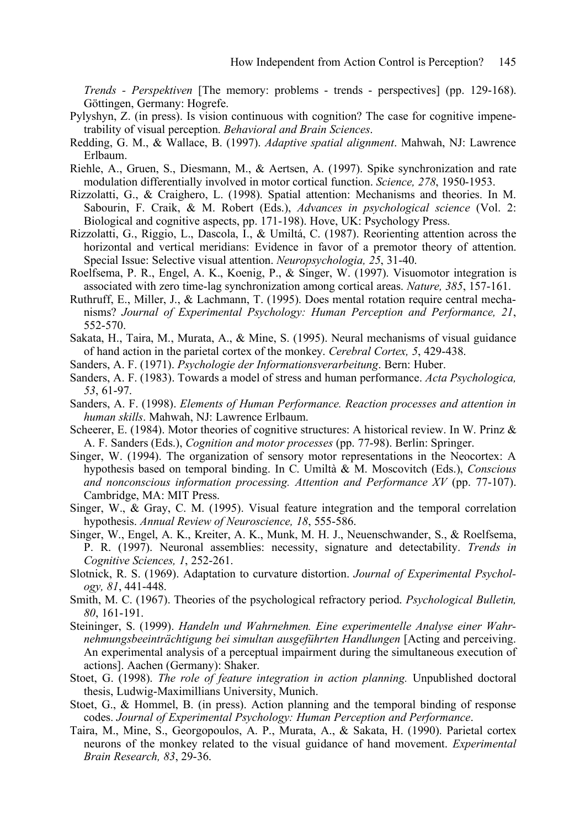*Trends - Perspektiven* [The memory: problems - trends - perspectives] (pp. 129-168). Göttingen, Germany: Hogrefe.

- Pylyshyn, Z. (in press). Is vision continuous with cognition? The case for cognitive impenetrability of visual perception. *Behavioral and Brain Sciences*.
- Redding, G. M., & Wallace, B. (1997). *Adaptive spatial alignment*. Mahwah, NJ: Lawrence Erlbaum.
- Riehle, A., Gruen, S., Diesmann, M., & Aertsen, A. (1997). Spike synchronization and rate modulation differentially involved in motor cortical function. *Science, 278*, 1950-1953.
- Rizzolatti, G., & Craighero, L. (1998). Spatial attention: Mechanisms and theories. In M. Sabourin, F. Craik, & M. Robert (Eds.), *Advances in psychological science* (Vol. 2: Biological and cognitive aspects, pp. 171-198). Hove, UK: Psychology Press.
- Rizzolatti, G., Riggio, L., Dascola, I., & Umiltá, C. (1987). Reorienting attention across the horizontal and vertical meridians: Evidence in favor of a premotor theory of attention. Special Issue: Selective visual attention. *Neuropsychologia, 25*, 31-40.
- Roelfsema, P. R., Engel, A. K., Koenig, P., & Singer, W. (1997). Visuomotor integration is associated with zero time-lag synchronization among cortical areas. *Nature, 385*, 157-161.
- Ruthruff, E., Miller, J., & Lachmann, T. (1995). Does mental rotation require central mechanisms? *Journal of Experimental Psychology: Human Perception and Performance, 21*, 552-570.
- Sakata, H., Taira, M., Murata, A., & Mine, S. (1995). Neural mechanisms of visual guidance of hand action in the parietal cortex of the monkey. *Cerebral Cortex, 5*, 429-438.
- Sanders, A. F. (1971). *Psychologie der Informationsverarbeitung*. Bern: Huber.
- Sanders, A. F. (1983). Towards a model of stress and human performance. *Acta Psychologica, 53*, 61-97.
- Sanders, A. F. (1998). *Elements of Human Performance. Reaction processes and attention in human skills*. Mahwah, NJ: Lawrence Erlbaum.
- Scheerer, E. (1984). Motor theories of cognitive structures: A historical review. In W. Prinz & A. F. Sanders (Eds.), *Cognition and motor processes* (pp. 77-98). Berlin: Springer.
- Singer, W. (1994). The organization of sensory motor representations in the Neocortex: A hypothesis based on temporal binding. In C. Umiltà & M. Moscovitch (Eds.), *Conscious and nonconscious information processing. Attention and Performance XV* (pp. 77-107). Cambridge, MA: MIT Press.
- Singer, W., & Gray, C. M. (1995). Visual feature integration and the temporal correlation hypothesis. *Annual Review of Neuroscience, 18*, 555-586.
- Singer, W., Engel, A. K., Kreiter, A. K., Munk, M. H. J., Neuenschwander, S., & Roelfsema, P. R. (1997). Neuronal assemblies: necessity, signature and detectability. *Trends in Cognitive Sciences, 1*, 252-261.
- Slotnick, R. S. (1969). Adaptation to curvature distortion. *Journal of Experimental Psychology, 81*, 441-448.
- Smith, M. C. (1967). Theories of the psychological refractory period. *Psychological Bulletin, 80*, 161-191.
- Steininger, S. (1999). *Handeln und Wahrnehmen. Eine experimentelle Analyse einer Wahrnehmungsbeeinträchtigung bei simultan ausgeführten Handlungen* [Acting and perceiving. An experimental analysis of a perceptual impairment during the simultaneous execution of actions]. Aachen (Germany): Shaker.
- Stoet, G. (1998). *The role of feature integration in action planning.* Unpublished doctoral thesis, Ludwig-Maximillians University, Munich.
- Stoet, G., & Hommel, B. (in press). Action planning and the temporal binding of response codes. *Journal of Experimental Psychology: Human Perception and Performance*.
- Taira, M., Mine, S., Georgopoulos, A. P., Murata, A., & Sakata, H. (1990). Parietal cortex neurons of the monkey related to the visual guidance of hand movement. *Experimental Brain Research, 83*, 29-36.